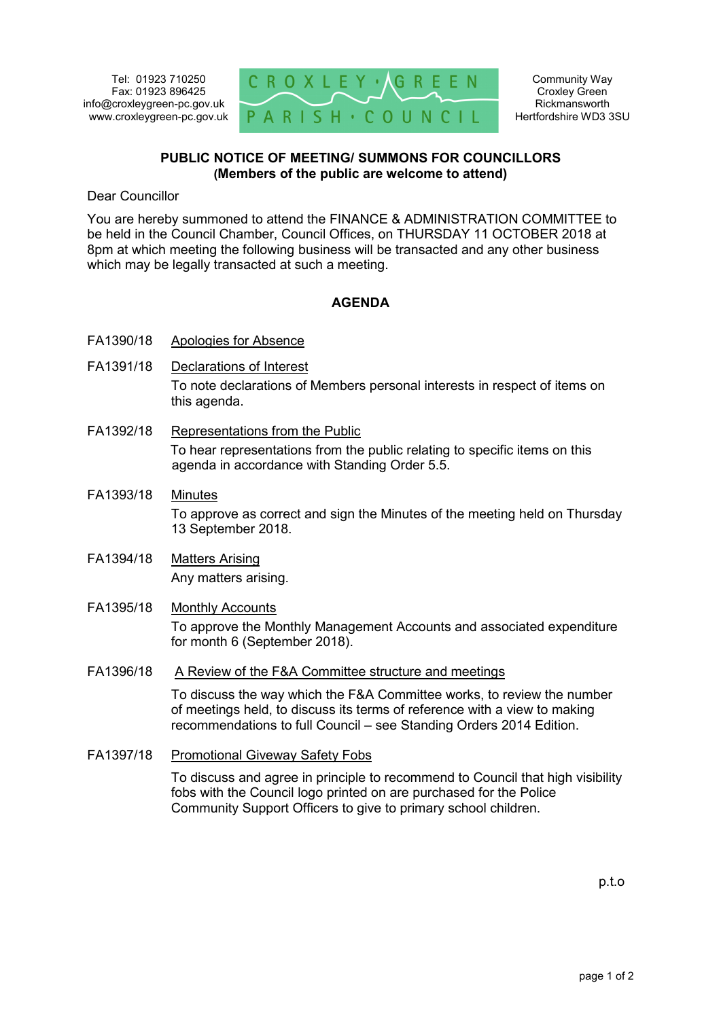

Community Way Croxley Green Rickmansworth Hertfordshire WD3 3SU

## **PUBLIC NOTICE OF MEETING/ SUMMONS FOR COUNCILLORS (Members of the public are welcome to attend)**

Dear Councillor

You are hereby summoned to attend the FINANCE & ADMINISTRATION COMMITTEE to be held in the Council Chamber, Council Offices, on THURSDAY 11 OCTOBER 2018 at 8pm at which meeting the following business will be transacted and any other business which may be legally transacted at such a meeting.

## **AGENDA**

- FA1390/18 Apologies for Absence
- FA1391/18 Declarations of Interest To note declarations of Members personal interests in respect of items on this agenda.
- FA1392/18 Representations from the Public To hear representations from the public relating to specific items on this agenda in accordance with Standing Order 5.5.
- FA1393/18 Minutes To approve as correct and sign the Minutes of the meeting held on Thursday 13 September 2018.
- FA1394/18 Matters Arising Any matters arising.
- FA1395/18 Monthly Accounts To approve the Monthly Management Accounts and associated expenditure for month 6 (September 2018).
- FA1396/18 A Review of the F&A Committee structure and meetings

To discuss the way which the F&A Committee works, to review the number of meetings held, to discuss its terms of reference with a view to making recommendations to full Council – see Standing Orders 2014 Edition.

FA1397/18 Promotional Giveway Safety Fobs

To discuss and agree in principle to recommend to Council that high visibility fobs with the Council logo printed on are purchased for the Police Community Support Officers to give to primary school children.

p.t.o